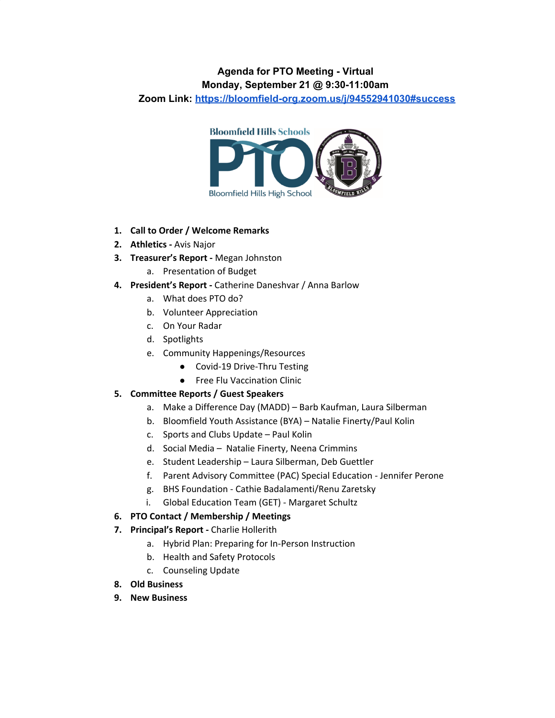# **Agenda for PTO Meeting - Virtual**

# **Monday, September 21 @ 9:30-11:00am**

**Zoom Link: <https://bloomfield-org.zoom.us/j/94552941030#success>**



## **1. Call to Order / Welcome Remarks**

- **2. Athletics -** Avis Najor
- **3. Treasurer's Report -** Megan Johnston
	- a. Presentation of Budget
- **4. President's Report -** Catherine Daneshvar / Anna Barlow
	- a. What does PTO do?
	- b. Volunteer Appreciation
	- c. On Your Radar
	- d. Spotlights
	- e. Community Happenings/Resources
		- Covid-19 Drive-Thru Testing
		- Free Flu Vaccination Clinic

# **5. Committee Reports / Guest Speakers**

- a. Make a Difference Day (MADD) Barb Kaufman, Laura Silberman
- b. Bloomfield Youth Assistance (BYA) Natalie Finerty/Paul Kolin
- c. Sports and Clubs Update Paul Kolin
- d. Social Media Natalie Finerty, Neena Crimmins
- e. Student Leadership Laura Silberman, Deb Guettler
- f. Parent Advisory Committee (PAC) Special Education Jennifer Perone
- g. BHS Foundation Cathie Badalamenti/Renu Zaretsky
- i. Global Education Team (GET) Margaret Schultz

# **6. PTO Contact / Membership / Meetings**

- **7. Principal's Report -** Charlie Hollerith
	- a. Hybrid Plan: Preparing for In-Person Instruction
	- b. Health and Safety Protocols
	- c. Counseling Update
- **8. Old Business**
- **9. New Business**